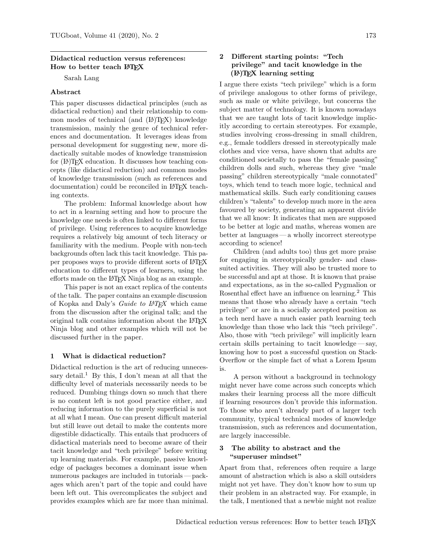#### Didactical reduction versus references: How to better teach LATFX

Sarah Lang

### Abstract

This paper discusses didactical principles (such as didactical reduction) and their relationship to common modes of technical (and  $(LA)TFX$ ) knowledge transmission, mainly the genre of technical references and documentation. It leverages ideas from personal development for suggesting new, more didactically suitable modes of knowledge transmission for  $(E)$ T<sub>F</sub>X education. It discusses how teaching concepts (like didactical reduction) and common modes of knowledge transmission (such as references and documentation) could be reconciled in LATEX teaching contexts.

The problem: Informal knowledge about how to act in a learning setting and how to procure the knowledge one needs is often linked to different forms of privilege. Using references to acquire knowledge requires a relatively big amount of tech literacy or familiarity with the medium. People with non-tech backgrounds often lack this tacit knowledge. This paper proposes ways to provide different sorts of LATFX education to different types of learners, using the efforts made on the LATEX Ninja blog as an example.

This paper is not an exact replica of the contents of the talk. The paper contains an example discussion of Kopka and Daly's Guide to  $LAT$ <sub>F</sub>X which came from the discussion after the original talk; and the original talk contains information about the LATEX Ninja blog and other examples which will not be discussed further in the paper.

#### 1 What is didactical reduction?

Didactical reduction is the art of reducing unnecessary detail.<sup>1</sup> By this, I don't mean at all that the difficulty level of materials necessarily needs to be reduced. Dumbing things down so much that there is no content left is not good practice either, and reducing information to the purely superficial is not at all what I mean. One can present difficult material but still leave out detail to make the contents more digestible didactically. This entails that producers of didactical materials need to become aware of their tacit knowledge and "tech privilege" before writing up learning materials. For example, passive knowledge of packages becomes a dominant issue when numerous packages are included in tutorials — packages which aren't part of the topic and could have been left out. This overcomplicates the subject and provides examples which are far more than minimal.

## 2 Different starting points: "Tech privilege" and tacit knowledge in the  $(E)$ TEX learning setting

I argue there exists "tech privilege" which is a form of privilege analogous to other forms of privilege, such as male or white privilege, but concerns the subject matter of technology. It is known nowadays that we are taught lots of tacit knowledge implicitly according to certain stereotypes. For example, studies involving cross-dressing in small children, e.g., female toddlers dressed in stereotypically male clothes and vice versa, have shown that adults are conditioned societally to pass the "female passing" children dolls and such, whereas they give "male passing" children stereotypically "male connotated" toys, which tend to teach more logic, technical and mathematical skills. Such early conditioning causes children's "talents" to develop much more in the area favoured by society, generating an apparent divide that we all know: It indicates that men are supposed to be better at logic and maths, whereas women are better at languages— a wholly incorrect stereotype according to science!

Children (and adults too) thus get more praise for engaging in stereotypically gender- and classsuited activities. They will also be trusted more to be successful and apt at those. It is known that praise and expectations, as in the so-called Pygmalion or Rosenthal effect have an influence on learning.<sup>2</sup> This means that those who already have a certain "tech privilege" or are in a socially accepted position as a tech nerd have a much easier path learning tech knowledge than those who lack this "tech privilege". Also, those with "tech privilege" will implicitly learn certain skills pertaining to tacit knowledge— say, knowing how to post a successful question on Stack-Overflow or the simple fact of what a Lorem Ipsum is.

A person without a background in technology might never have come across such concepts which makes their learning process all the more difficult if learning resources don't provide this information. To those who aren't already part of a larger tech community, typical technical modes of knowledge transmission, such as references and documentation, are largely inaccessible.

#### 3 The ability to abstract and the "superuser mindset"

Apart from that, references often require a large amount of abstraction which is also a skill outsiders might not yet have. They don't know how to sum up their problem in an abstracted way. For example, in the talk, I mentioned that a newbie might not realize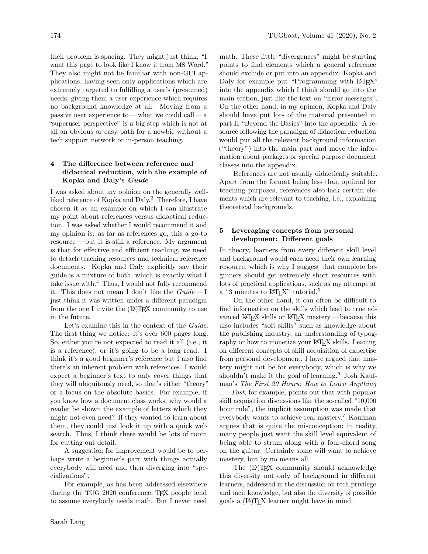their problem is spacing. They might just think, "I want this page to look like I know it from MS Word." They also might not be familiar with non-GUI applications, having seen only applications which are extremely targeted to fulfilling a user's (presumed) needs, giving them a user experience which requires no background knowledge at all. Moving from a passive user experience to — what we could call — a "superuser perspective" is a big step which is not at all an obvious or easy path for a newbie without a tech support network or in-person teaching.

## 4 The difference between reference and didactical reduction, with the example of Kopka and Daly's Guide

I was asked about my opinion on the generally wellliked reference of Kopka and Daly.<sup>3</sup> Therefore, I have chosen it as an example on which I can illustrate my point about references versus didactical reduction. I was asked whether I would recommend it and my opinion is: as far as references go, this a go-to resource— but it is still a reference. My argument is that for effective and efficient teaching, we need to detach teaching resources and technical reference documents. Kopka and Daly explicitly say their guide is a mixture of both, which is exactly what I take issue with. $4$  Thus, I would not fully recommend it. This does not mean I don't like the  $Guide - I$ just think it was written under a different paradigm from the one I invite the  $(L)$ TFX community to use in the future.

Let's examine this in the context of the Guide. The first thing we notice: it's over 600 pages long. So, either you're not expected to read it all (i.e., it is a reference), or it's going to be a long read. I think it's a good beginner's reference but I also find there's an inherent problem with references. I would expect a beginner's text to only cover things that they will ubiquitously need, so that's either "theory" or a focus on the absolute basics. For example, if you know how a document class works, why would a reader be shown the example of letters which they might not even need? If they wanted to learn about them, they could just look it up with a quick web search. Thus, I think there would be lots of room for cutting out detail.

A suggestion for improvement would be to perhaps write a beginner's part with things actually everybody will need and then diverging into "specializations".

For example, as has been addressed elsewhere during the TUG 2020 conference, TEX people tend to assume everybody needs math. But I never need

math. These little "divergences" might be starting points to find elements which a general reference should exclude or put into an appendix. Kopka and Daly for example put "Programming with LATEX" into the appendix which I think should go into the main section, just like the text on "Error messages". On the other hand, in my opinion, Kopka and Daly should have put lots of the material presented in part II "Beyond the Basics" into the appendix. A resource following the paradigm of didactical reduction would put all the relevant background information ("theory") into the main part and move the information about packages or special purpose document classes into the appendix.

References are not usually didactically suitable. Apart from the format being less than optimal for teaching purposes, references also lack certain elements which are relevant to teaching, i.e., explaining theoretical backgrounds.

# 5 Leveraging concepts from personal development: Different goals

In theory, learners from every different skill level and background would each need their own learning resource, which is why I suggest that complete beginners should get extremely short resources with lots of practical applications, such as my attempt at a "3 minutes to L<sup>AT</sup>FX" tutorial.<sup>5</sup>

On the other hand, it can often be difficult to find information on the skills which lead to true advanced LATEX skills or LATEX mastery — because this also includes "soft skills" such as knowledge about the publishing industry, an understanding of typography or how to monetize your LATEX skills. Leaning on different concepts of skill acquisition of expertise from personal development, I have argued that mastery might not be for everybody, which is why we shouldn't make it the goal of learning.<sup>6</sup> Josh Kaufman's The First 20 Hours: How to Learn Anything ... Fast, for example, points out that with popular skill acquisition discussions like the so-called "10,000 hour rule", the implicit assumption was made that everybody wants to achieve real mastery.<sup>7</sup> Kaufman argues that is quite the misconception; in reality, many people just want the skill level equivalent of being able to strum along with a four-chord song on the guitar. Certainly some will want to achieve mastery, but by no means all.

The  $(L)$ <sup>T</sup>FX community should acknowledge this diversity not only of background in different learners, addressed in the discussion on tech privilege and tacit knowledge, but also the diversity of possible goals a (LA)TEX learner might have in mind.